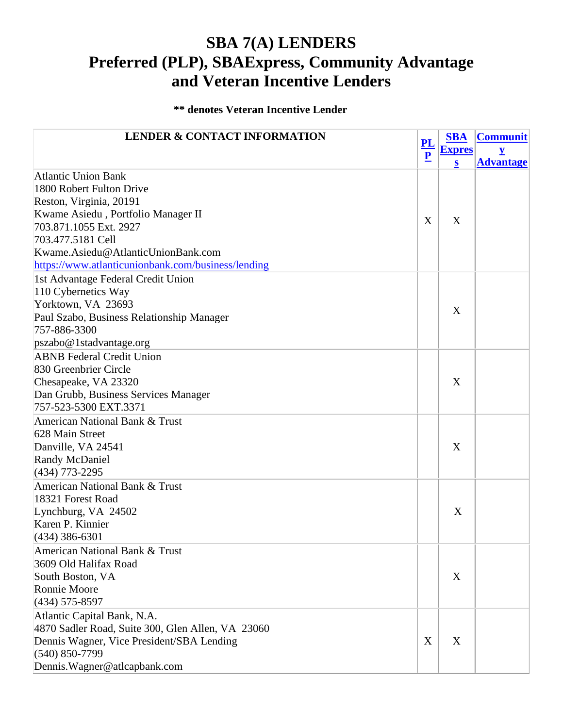## **SBA 7(A) LENDERS Preferred (PLP), SBAExpress, Community Advantage and Veteran Incentive Lenders**

## **\*\* denotes Veteran Incentive Lender**

| <b>LENDER &amp; CONTACT INFORMATION</b>            |                               | <b>SBA</b>    | <b>Communit</b>         |
|----------------------------------------------------|-------------------------------|---------------|-------------------------|
|                                                    | PL<br>$\overline{\mathbf{P}}$ | <b>Expres</b> | $\overline{\mathbf{Y}}$ |
|                                                    |                               | $\bf{s}$      | <b>Advantage</b>        |
| <b>Atlantic Union Bank</b>                         |                               |               |                         |
| 1800 Robert Fulton Drive                           |                               |               |                         |
| Reston, Virginia, 20191                            |                               |               |                         |
| Kwame Asiedu, Portfolio Manager II                 | X                             | X             |                         |
| 703.871.1055 Ext. 2927                             |                               |               |                         |
| 703.477.5181 Cell                                  |                               |               |                         |
| Kwame.Asiedu@AtlanticUnionBank.com                 |                               |               |                         |
| https://www.atlanticunionbank.com/business/lending |                               |               |                         |
| 1st Advantage Federal Credit Union                 |                               |               |                         |
| 110 Cybernetics Way                                |                               |               |                         |
| Yorktown, VA 23693                                 |                               |               |                         |
| Paul Szabo, Business Relationship Manager          |                               | X             |                         |
| 757-886-3300                                       |                               |               |                         |
| pszabo@1stadvantage.org                            |                               |               |                         |
| <b>ABNB</b> Federal Credit Union                   |                               |               |                         |
| 830 Greenbrier Circle                              |                               |               |                         |
| Chesapeake, VA 23320                               |                               | X             |                         |
| Dan Grubb, Business Services Manager               |                               |               |                         |
| 757-523-5300 EXT.3371                              |                               |               |                         |
| American National Bank & Trust                     |                               |               |                         |
| 628 Main Street                                    |                               |               |                         |
| Danville, VA 24541                                 |                               | X             |                         |
| <b>Randy McDaniel</b>                              |                               |               |                         |
| (434) 773-2295                                     |                               |               |                         |
| <b>American National Bank &amp; Trust</b>          |                               |               |                         |
| 18321 Forest Road                                  |                               |               |                         |
| Lynchburg, VA 24502                                |                               | X             |                         |
| Karen P. Kinnier                                   |                               |               |                         |
| $(434)$ 386-6301                                   |                               |               |                         |
| American National Bank & Trust                     |                               |               |                         |
| 3609 Old Halifax Road                              |                               |               |                         |
| South Boston, VA                                   |                               | X             |                         |
| Ronnie Moore                                       |                               |               |                         |
| $(434)$ 575-8597                                   |                               |               |                         |
| Atlantic Capital Bank, N.A.                        |                               |               |                         |
| 4870 Sadler Road, Suite 300, Glen Allen, VA 23060  |                               |               |                         |
| Dennis Wagner, Vice President/SBA Lending          | X                             | X             |                         |
| $(540) 850 - 7799$                                 |                               |               |                         |
| Dennis. Wagner@atlcapbank.com                      |                               |               |                         |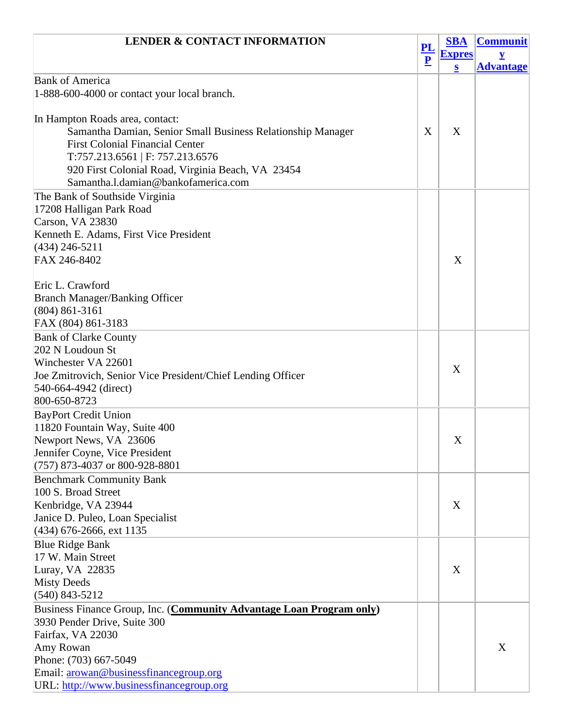| <b>LENDER &amp; CONTACT INFORMATION</b>                                              | ${\bf PL}$<br>$\overline{\mathbf{P}}$ | <b>SBA</b>    | <b>Communit</b>  |
|--------------------------------------------------------------------------------------|---------------------------------------|---------------|------------------|
|                                                                                      |                                       | <b>Expres</b> | $\mathbf y$      |
|                                                                                      |                                       | $\bf{s}$      | <b>Advantage</b> |
| <b>Bank of America</b>                                                               |                                       |               |                  |
| 1-888-600-4000 or contact your local branch.                                         |                                       |               |                  |
|                                                                                      |                                       |               |                  |
| In Hampton Roads area, contact:                                                      |                                       |               |                  |
| Samantha Damian, Senior Small Business Relationship Manager                          | X                                     | X             |                  |
| <b>First Colonial Financial Center</b>                                               |                                       |               |                  |
| T:757.213.6561   F: 757.213.6576                                                     |                                       |               |                  |
| 920 First Colonial Road, Virginia Beach, VA 23454                                    |                                       |               |                  |
| Samantha.l.damian@bankofamerica.com                                                  |                                       |               |                  |
| The Bank of Southside Virginia                                                       |                                       |               |                  |
| 17208 Halligan Park Road                                                             |                                       |               |                  |
| Carson, VA 23830                                                                     |                                       |               |                  |
| Kenneth E. Adams, First Vice President                                               |                                       |               |                  |
| $(434)$ 246-5211                                                                     |                                       |               |                  |
| FAX 246-8402                                                                         |                                       | X             |                  |
|                                                                                      |                                       |               |                  |
| Eric L. Crawford                                                                     |                                       |               |                  |
| <b>Branch Manager/Banking Officer</b>                                                |                                       |               |                  |
| $(804) 861 - 3161$                                                                   |                                       |               |                  |
| FAX (804) 861-3183                                                                   |                                       |               |                  |
| <b>Bank of Clarke County</b>                                                         |                                       |               |                  |
| 202 N Loudoun St                                                                     |                                       |               |                  |
| Winchester VA 22601                                                                  |                                       | X             |                  |
| Joe Zmitrovich, Senior Vice President/Chief Lending Officer<br>540-664-4942 (direct) |                                       |               |                  |
| 800-650-8723                                                                         |                                       |               |                  |
| <b>BayPort Credit Union</b>                                                          |                                       |               |                  |
| 11820 Fountain Way, Suite 400                                                        |                                       |               |                  |
| Newport News, VA 23606                                                               |                                       | X             |                  |
| Jennifer Coyne, Vice President                                                       |                                       |               |                  |
| $(757)$ 873-4037 or 800-928-8801                                                     |                                       |               |                  |
| <b>Benchmark Community Bank</b>                                                      |                                       |               |                  |
| 100 S. Broad Street                                                                  |                                       |               |                  |
| Kenbridge, VA 23944                                                                  |                                       | X             |                  |
| Janice D. Puleo, Loan Specialist                                                     |                                       |               |                  |
| (434) 676-2666, ext 1135                                                             |                                       |               |                  |
| <b>Blue Ridge Bank</b>                                                               |                                       |               |                  |
| 17 W. Main Street                                                                    |                                       |               |                  |
| Luray, VA 22835                                                                      |                                       | X             |                  |
| <b>Misty Deeds</b>                                                                   |                                       |               |                  |
| $(540)$ 843-5212                                                                     |                                       |               |                  |
| Business Finance Group, Inc. (Community Advantage Loan Program only)                 |                                       |               |                  |
| 3930 Pender Drive, Suite 300                                                         |                                       |               |                  |
| Fairfax, VA 22030                                                                    |                                       |               |                  |
| Amy Rowan                                                                            |                                       |               | X                |
| Phone: (703) 667-5049                                                                |                                       |               |                  |
| Email: arowan@businessfinancegroup.org                                               |                                       |               |                  |
| URL: http://www.businessfinancegroup.org                                             |                                       |               |                  |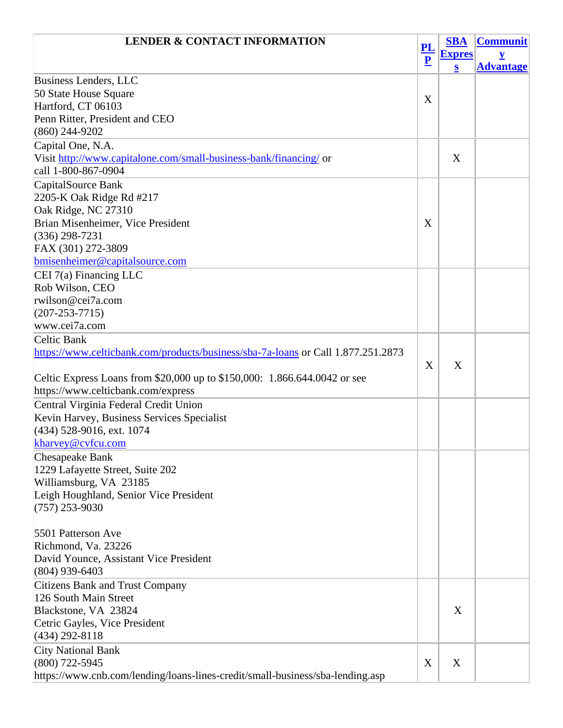| <b>LENDER &amp; CONTACT INFORMATION</b>                                          |                                                      | <b>SBA</b>    | <b>Communit</b>  |
|----------------------------------------------------------------------------------|------------------------------------------------------|---------------|------------------|
|                                                                                  | $\underline{\mathbf{PL}}$<br>$\overline{\mathbf{P}}$ | <b>Expres</b> | y                |
|                                                                                  |                                                      | $\bf{s}$      | <b>Advantage</b> |
| Business Lenders, LLC                                                            |                                                      |               |                  |
| 50 State House Square                                                            | X                                                    |               |                  |
| Hartford, CT 06103                                                               |                                                      |               |                  |
| Penn Ritter, President and CEO                                                   |                                                      |               |                  |
| $(860)$ 244-9202                                                                 |                                                      |               |                  |
| Capital One, N.A.                                                                |                                                      |               |                  |
| Visit http://www.capitalone.com/small-business-bank/financing/ or                |                                                      | X             |                  |
| call 1-800-867-0904                                                              |                                                      |               |                  |
| CapitalSource Bank                                                               |                                                      |               |                  |
| 2205-K Oak Ridge Rd #217                                                         |                                                      |               |                  |
| Oak Ridge, NC 27310                                                              |                                                      |               |                  |
| Brian Misenheimer, Vice President                                                | X                                                    |               |                  |
| $(336)$ 298-7231                                                                 |                                                      |               |                  |
| FAX (301) 272-3809                                                               |                                                      |               |                  |
| bmisenheimer@capitalsource.com                                                   |                                                      |               |                  |
| $CEI$ 7(a) Financing LLC                                                         |                                                      |               |                  |
| Rob Wilson, CEO                                                                  |                                                      |               |                  |
| rwilson@cei7a.com                                                                |                                                      |               |                  |
| $(207 - 253 - 7715)$                                                             |                                                      |               |                  |
| www.cei7a.com                                                                    |                                                      |               |                  |
| Celtic Bank                                                                      |                                                      |               |                  |
| https://www.celticbank.com/products/business/sba-7a-loans or Call 1.877.251.2873 |                                                      |               |                  |
|                                                                                  | X                                                    | X             |                  |
| Celtic Express Loans from \$20,000 up to \$150,000: 1.866.644.0042 or see        |                                                      |               |                  |
| https://www.celticbank.com/express                                               |                                                      |               |                  |
| Central Virginia Federal Credit Union                                            |                                                      |               |                  |
| Kevin Harvey, Business Services Specialist                                       |                                                      |               |                  |
| $(434)$ 528-9016, ext. 1074                                                      |                                                      |               |                  |
|                                                                                  |                                                      |               |                  |
| kharvey@cvfcu.com                                                                |                                                      |               |                  |
| <b>Chesapeake Bank</b>                                                           |                                                      |               |                  |
| 1229 Lafayette Street, Suite 202                                                 |                                                      |               |                  |
| Williamsburg, VA 23185                                                           |                                                      |               |                  |
| Leigh Houghland, Senior Vice President                                           |                                                      |               |                  |
| $(757)$ 253-9030                                                                 |                                                      |               |                  |
| 5501 Patterson Ave                                                               |                                                      |               |                  |
| Richmond, Va. 23226                                                              |                                                      |               |                  |
| David Younce, Assistant Vice President                                           |                                                      |               |                  |
| $(804)$ 939-6403                                                                 |                                                      |               |                  |
|                                                                                  |                                                      |               |                  |
| <b>Citizens Bank and Trust Company</b>                                           |                                                      |               |                  |
| 126 South Main Street                                                            |                                                      |               |                  |
| Blackstone, VA 23824                                                             |                                                      | X             |                  |
| Cetric Gayles, Vice President                                                    |                                                      |               |                  |
| $(434)$ 292-8118                                                                 |                                                      |               |                  |
| <b>City National Bank</b>                                                        |                                                      |               |                  |
| $(800)$ 722-5945                                                                 | X                                                    | X             |                  |
| https://www.cnb.com/lending/loans-lines-credit/small-business/sba-lending.asp    |                                                      |               |                  |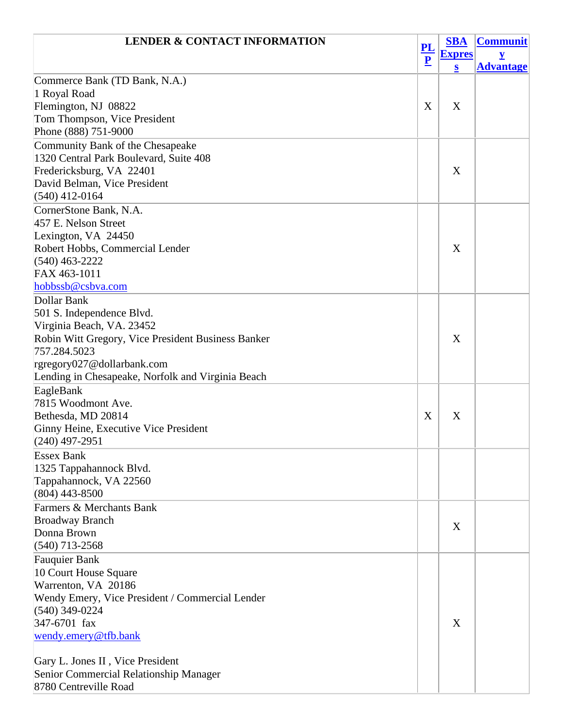| <b>LENDER &amp; CONTACT INFORMATION</b>            |                | <b>SBA</b>    | <b>Communit</b>  |
|----------------------------------------------------|----------------|---------------|------------------|
|                                                    | $\frac{PL}{P}$ | <b>Expres</b> |                  |
|                                                    |                | S             | <b>Advantage</b> |
| Commerce Bank (TD Bank, N.A.)                      |                |               |                  |
| 1 Royal Road                                       |                |               |                  |
| Flemington, NJ 08822                               | X              | X             |                  |
| Tom Thompson, Vice President                       |                |               |                  |
| Phone (888) 751-9000                               |                |               |                  |
| Community Bank of the Chesapeake                   |                |               |                  |
| 1320 Central Park Boulevard, Suite 408             |                |               |                  |
| Fredericksburg, VA 22401                           |                | X             |                  |
| David Belman, Vice President                       |                |               |                  |
| $(540)$ 412-0164                                   |                |               |                  |
| CornerStone Bank, N.A.                             |                |               |                  |
| 457 E. Nelson Street                               |                |               |                  |
| Lexington, VA 24450                                |                |               |                  |
| Robert Hobbs, Commercial Lender                    |                | X             |                  |
| $(540)$ 463-2222                                   |                |               |                  |
| FAX 463-1011                                       |                |               |                  |
| hobbssb@csbva.com                                  |                |               |                  |
| Dollar Bank                                        |                |               |                  |
| 501 S. Independence Blvd.                          |                |               |                  |
| Virginia Beach, VA. 23452                          |                |               |                  |
| Robin Witt Gregory, Vice President Business Banker |                | X             |                  |
| 757.284.5023                                       |                |               |                  |
| rgregory027@dollarbank.com                         |                |               |                  |
| Lending in Chesapeake, Norfolk and Virginia Beach  |                |               |                  |
| EagleBank                                          |                |               |                  |
| 7815 Woodmont Ave.                                 |                |               |                  |
| Bethesda, MD 20814                                 | X              | X             |                  |
| Ginny Heine, Executive Vice President              |                |               |                  |
| $(240)$ 497-2951                                   |                |               |                  |
| <b>Essex Bank</b>                                  |                |               |                  |
| 1325 Tappahannock Blvd.                            |                |               |                  |
| Tappahannock, VA 22560                             |                |               |                  |
| $(804)$ 443-8500                                   |                |               |                  |
| Farmers & Merchants Bank                           |                |               |                  |
| <b>Broadway Branch</b>                             |                |               |                  |
| Donna Brown                                        |                | X             |                  |
| $(540)$ 713-2568                                   |                |               |                  |
| <b>Fauquier Bank</b>                               |                |               |                  |
| 10 Court House Square                              |                |               |                  |
| Warrenton, VA 20186                                |                |               |                  |
| Wendy Emery, Vice President / Commercial Lender    |                |               |                  |
| $(540)$ 349-0224                                   |                |               |                  |
| 347-6701 fax                                       |                | X             |                  |
| wendy.emery@tfb.bank                               |                |               |                  |
|                                                    |                |               |                  |
| Gary L. Jones II, Vice President                   |                |               |                  |
| Senior Commercial Relationship Manager             |                |               |                  |
| 8780 Centreville Road                              |                |               |                  |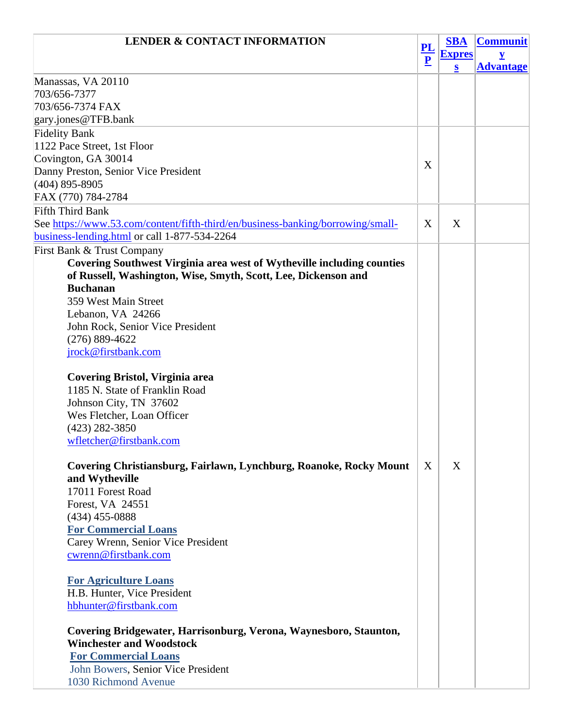| <b>LENDER &amp; CONTACT INFORMATION</b>                                         | ${\bf PL}$<br>$\overline{\mathbf{P}}$ | <b>SBA</b>    | <b>Communit</b>  |
|---------------------------------------------------------------------------------|---------------------------------------|---------------|------------------|
|                                                                                 |                                       | <b>Expres</b> | V                |
|                                                                                 |                                       | $\bf{s}$      | <b>Advantage</b> |
| Manassas, VA 20110                                                              |                                       |               |                  |
| 703/656-7377                                                                    |                                       |               |                  |
| 703/656-7374 FAX                                                                |                                       |               |                  |
| gary.jones@TFB.bank                                                             |                                       |               |                  |
| <b>Fidelity Bank</b>                                                            |                                       |               |                  |
| 1122 Pace Street, 1st Floor                                                     |                                       |               |                  |
| Covington, GA 30014                                                             | X                                     |               |                  |
| Danny Preston, Senior Vice President                                            |                                       |               |                  |
| $(404)$ 895-8905                                                                |                                       |               |                  |
| FAX (770) 784-2784                                                              |                                       |               |                  |
| <b>Fifth Third Bank</b>                                                         |                                       |               |                  |
| See https://www.53.com/content/fifth-third/en/business-banking/borrowing/small- | X                                     | X             |                  |
| business-lending.html or call 1-877-534-2264                                    |                                       |               |                  |
| First Bank & Trust Company                                                      |                                       |               |                  |
| <b>Covering Southwest Virginia area west of Wytheville including counties</b>   |                                       |               |                  |
| of Russell, Washington, Wise, Smyth, Scott, Lee, Dickenson and                  |                                       |               |                  |
| <b>Buchanan</b>                                                                 |                                       |               |                  |
| 359 West Main Street                                                            |                                       |               |                  |
| Lebanon, VA 24266                                                               |                                       |               |                  |
| John Rock, Senior Vice President                                                |                                       |               |                  |
| $(276) 889 - 4622$                                                              |                                       |               |                  |
| jrock@firstbank.com                                                             |                                       |               |                  |
|                                                                                 |                                       |               |                  |
| Covering Bristol, Virginia area                                                 |                                       |               |                  |
| 1185 N. State of Franklin Road                                                  |                                       |               |                  |
| Johnson City, TN 37602                                                          |                                       |               |                  |
| Wes Fletcher, Loan Officer<br>$(423)$ 282-3850                                  |                                       |               |                  |
| wfletcher@firstbank.com                                                         |                                       |               |                  |
|                                                                                 |                                       |               |                  |
| Covering Christiansburg, Fairlawn, Lynchburg, Roanoke, Rocky Mount              | X                                     | X             |                  |
| and Wytheville                                                                  |                                       |               |                  |
| 17011 Forest Road                                                               |                                       |               |                  |
| Forest, VA 24551                                                                |                                       |               |                  |
| $(434)$ 455-0888                                                                |                                       |               |                  |
| <b>For Commercial Loans</b>                                                     |                                       |               |                  |
| Carey Wrenn, Senior Vice President                                              |                                       |               |                  |
| cwrenn@firstbank.com                                                            |                                       |               |                  |
|                                                                                 |                                       |               |                  |
| <b>For Agriculture Loans</b>                                                    |                                       |               |                  |
| H.B. Hunter, Vice President                                                     |                                       |               |                  |
| hbhunter@firstbank.com                                                          |                                       |               |                  |
|                                                                                 |                                       |               |                  |
| Covering Bridgewater, Harrisonburg, Verona, Waynesboro, Staunton,               |                                       |               |                  |
| <b>Winchester and Woodstock</b>                                                 |                                       |               |                  |
| <b>For Commercial Loans</b>                                                     |                                       |               |                  |
| John Bowers, Senior Vice President                                              |                                       |               |                  |
| 1030 Richmond Avenue                                                            |                                       |               |                  |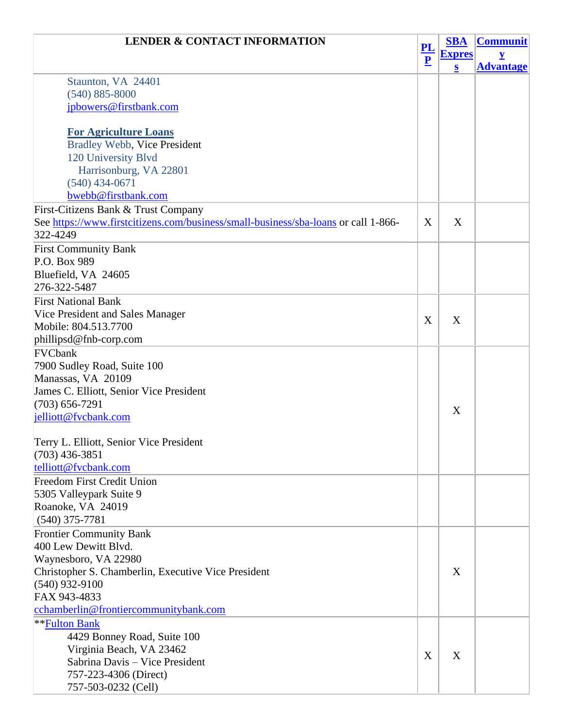| <b>LENDER &amp; CONTACT INFORMATION</b>                                            | $\frac{PL}{P}$ | <b>SBA</b>    | <b>Communit</b>         |
|------------------------------------------------------------------------------------|----------------|---------------|-------------------------|
|                                                                                    |                | <b>Expres</b> | $\overline{\mathbf{Y}}$ |
|                                                                                    |                | $\bf{s}$      | <b>Advantage</b>        |
| Staunton, VA 24401                                                                 |                |               |                         |
| $(540) 885 - 8000$                                                                 |                |               |                         |
| jpbowers@firstbank.com                                                             |                |               |                         |
|                                                                                    |                |               |                         |
| <b>For Agriculture Loans</b>                                                       |                |               |                         |
| <b>Bradley Webb, Vice President</b>                                                |                |               |                         |
| 120 University Blvd                                                                |                |               |                         |
| Harrisonburg, VA 22801                                                             |                |               |                         |
| $(540)$ 434-0671                                                                   |                |               |                         |
| bwebb@firstbank.com                                                                |                |               |                         |
| First-Citizens Bank & Trust Company                                                |                |               |                         |
| See https://www.firstcitizens.com/business/small-business/sba-loans or call 1-866- | X              | X             |                         |
| 322-4249                                                                           |                |               |                         |
| <b>First Community Bank</b>                                                        |                |               |                         |
| P.O. Box 989                                                                       |                |               |                         |
| Bluefield, VA 24605                                                                |                |               |                         |
| 276-322-5487                                                                       |                |               |                         |
| <b>First National Bank</b>                                                         |                |               |                         |
| Vice President and Sales Manager                                                   |                |               |                         |
| Mobile: 804.513.7700                                                               | X              | X             |                         |
| phillipsd@fnb-corp.com                                                             |                |               |                         |
| FVCbank                                                                            |                |               |                         |
| 7900 Sudley Road, Suite 100                                                        |                |               |                         |
| Manassas, VA 20109                                                                 |                |               |                         |
| James C. Elliott, Senior Vice President                                            |                |               |                         |
| $(703) 656 - 7291$                                                                 |                |               |                         |
| jelliott@fvcbank.com                                                               |                | X             |                         |
|                                                                                    |                |               |                         |
| Terry L. Elliott, Senior Vice President                                            |                |               |                         |
| $(703)$ 436-3851                                                                   |                |               |                         |
| telliott@fvcbank.com                                                               |                |               |                         |
| <b>Freedom First Credit Union</b>                                                  |                |               |                         |
| 5305 Valleypark Suite 9                                                            |                |               |                         |
| Roanoke, VA 24019                                                                  |                |               |                         |
| $(540)$ 375-7781                                                                   |                |               |                         |
| <b>Frontier Community Bank</b>                                                     |                |               |                         |
| 400 Lew Dewitt Blyd.                                                               |                |               |                         |
| Waynesboro, VA 22980                                                               |                |               |                         |
| Christopher S. Chamberlin, Executive Vice President                                |                | X             |                         |
| $(540)$ 932-9100                                                                   |                |               |                         |
| FAX 943-4833                                                                       |                |               |                         |
| cchamberlin@frontiercommunitybank.com                                              |                |               |                         |
| <b>**Fulton Bank</b>                                                               |                |               |                         |
| 4429 Bonney Road, Suite 100                                                        |                |               |                         |
| Virginia Beach, VA 23462                                                           |                |               |                         |
| Sabrina Davis - Vice President                                                     | X              | X             |                         |
| 757-223-4306 (Direct)                                                              |                |               |                         |
| 757-503-0232 (Cell)                                                                |                |               |                         |
|                                                                                    |                |               |                         |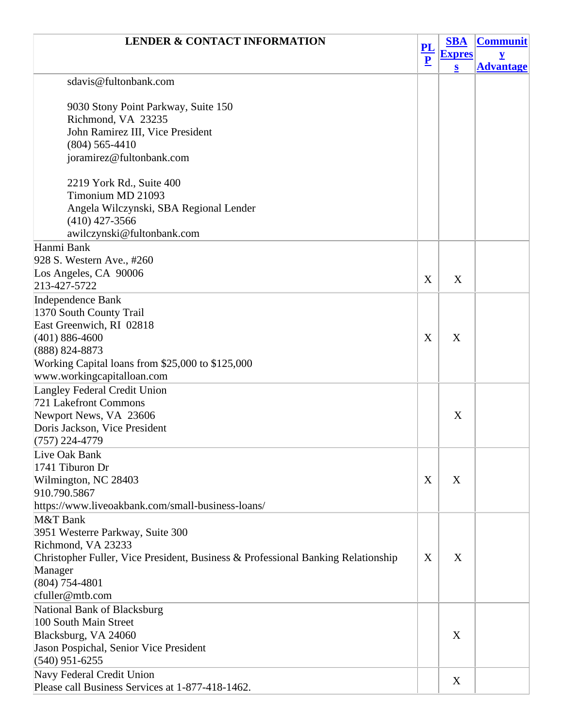| <b>LENDER &amp; CONTACT INFORMATION</b>                                          |                | <b>SBA</b>              | <b>Communit</b>  |
|----------------------------------------------------------------------------------|----------------|-------------------------|------------------|
|                                                                                  | $\frac{PL}{P}$ | <b>Expres</b>           | V                |
|                                                                                  |                | $\overline{\mathbf{S}}$ | <b>Advantage</b> |
| sdavis@fultonbank.com                                                            |                |                         |                  |
|                                                                                  |                |                         |                  |
| 9030 Stony Point Parkway, Suite 150                                              |                |                         |                  |
| Richmond, VA 23235                                                               |                |                         |                  |
| John Ramirez III, Vice President                                                 |                |                         |                  |
| $(804)$ 565-4410                                                                 |                |                         |                  |
| joramirez@fultonbank.com                                                         |                |                         |                  |
| 2219 York Rd., Suite 400                                                         |                |                         |                  |
| Timonium MD 21093                                                                |                |                         |                  |
|                                                                                  |                |                         |                  |
| Angela Wilczynski, SBA Regional Lender                                           |                |                         |                  |
| $(410)$ 427-3566                                                                 |                |                         |                  |
| awilczynski@fultonbank.com                                                       |                |                         |                  |
| Hanmi Bank                                                                       |                |                         |                  |
| 928 S. Western Ave., #260                                                        |                |                         |                  |
| Los Angeles, CA 90006                                                            | X              | X                       |                  |
| 213-427-5722                                                                     |                |                         |                  |
| <b>Independence Bank</b>                                                         |                |                         |                  |
| 1370 South County Trail                                                          |                |                         |                  |
| East Greenwich, RI 02818                                                         |                |                         |                  |
| $(401) 886 - 4600$                                                               | X              | X                       |                  |
| (888) 824-8873                                                                   |                |                         |                  |
| Working Capital loans from \$25,000 to \$125,000                                 |                |                         |                  |
| www.workingcapitalloan.com                                                       |                |                         |                  |
| Langley Federal Credit Union                                                     |                |                         |                  |
| 721 Lakefront Commons                                                            |                |                         |                  |
| Newport News, VA 23606                                                           |                | X                       |                  |
| Doris Jackson, Vice President                                                    |                |                         |                  |
| (757) 224-4779                                                                   |                |                         |                  |
| Live Oak Bank                                                                    |                |                         |                  |
| 1741 Tiburon Dr                                                                  |                |                         |                  |
| Wilmington, NC 28403                                                             | X              | X                       |                  |
| 910.790.5867                                                                     |                |                         |                  |
| https://www.liveoakbank.com/small-business-loans/                                |                |                         |                  |
| M&T Bank                                                                         |                |                         |                  |
| 3951 Westerre Parkway, Suite 300                                                 |                |                         |                  |
| Richmond, VA 23233                                                               |                |                         |                  |
| Christopher Fuller, Vice President, Business & Professional Banking Relationship | X              | X                       |                  |
| Manager                                                                          |                |                         |                  |
| (804) 754-4801                                                                   |                |                         |                  |
| cfuller@mtb.com                                                                  |                |                         |                  |
| National Bank of Blacksburg                                                      |                |                         |                  |
| 100 South Main Street                                                            |                |                         |                  |
| Blacksburg, VA 24060                                                             |                | X                       |                  |
| Jason Pospichal, Senior Vice President                                           |                |                         |                  |
| $(540)$ 951-6255                                                                 |                |                         |                  |
|                                                                                  |                |                         |                  |
| Navy Federal Credit Union<br>Please call Business Services at 1-877-418-1462.    |                | X                       |                  |
|                                                                                  |                |                         |                  |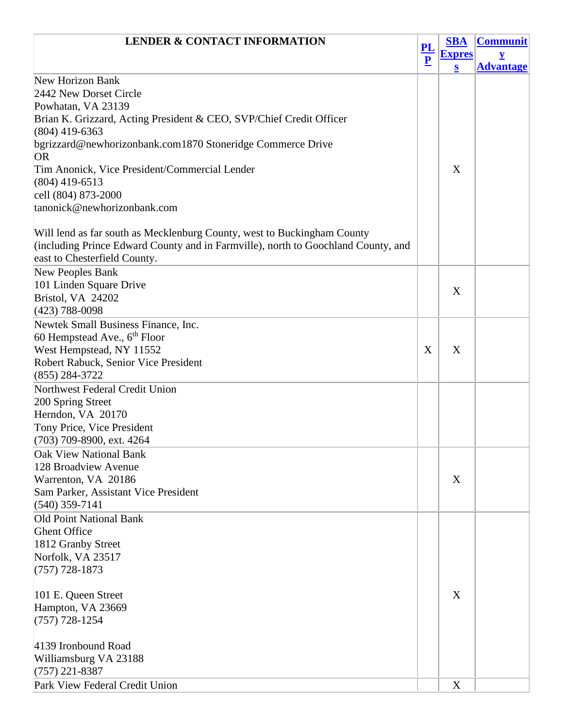| <b>LENDER &amp; CONTACT INFORMATION</b>                                           |                | <b>SBA</b>    | <b>Communit</b>  |
|-----------------------------------------------------------------------------------|----------------|---------------|------------------|
|                                                                                   | $\frac{PL}{P}$ | <b>Expres</b> | V                |
|                                                                                   |                | S             | <b>Advantage</b> |
| <b>New Horizon Bank</b>                                                           |                |               |                  |
| 2442 New Dorset Circle                                                            |                |               |                  |
| Powhatan, VA 23139                                                                |                |               |                  |
| Brian K. Grizzard, Acting President & CEO, SVP/Chief Credit Officer               |                |               |                  |
| $(804)$ 419-6363                                                                  |                |               |                  |
| bgrizzard@newhorizonbank.com1870 Stoneridge Commerce Drive<br><b>OR</b>           |                |               |                  |
| Tim Anonick, Vice President/Commercial Lender                                     |                | X             |                  |
| $(804)$ 419-6513                                                                  |                |               |                  |
| cell (804) 873-2000                                                               |                |               |                  |
| tanonick@newhorizonbank.com                                                       |                |               |                  |
|                                                                                   |                |               |                  |
| Will lend as far south as Mecklenburg County, west to Buckingham County           |                |               |                  |
| (including Prince Edward County and in Farmville), north to Goochland County, and |                |               |                  |
| east to Chesterfield County.                                                      |                |               |                  |
| New Peoples Bank                                                                  |                |               |                  |
| 101 Linden Square Drive                                                           |                | X             |                  |
| Bristol, VA 24202                                                                 |                |               |                  |
| $(423)$ 788-0098                                                                  |                |               |                  |
| Newtek Small Business Finance, Inc.                                               |                |               |                  |
| 60 Hempstead Ave., 6 <sup>th</sup> Floor                                          |                |               |                  |
| West Hempstead, NY 11552                                                          | X              | X             |                  |
| Robert Rabuck, Senior Vice President                                              |                |               |                  |
| $(855) 284 - 3722$                                                                |                |               |                  |
| Northwest Federal Credit Union                                                    |                |               |                  |
| 200 Spring Street                                                                 |                |               |                  |
| Herndon, VA 20170                                                                 |                |               |                  |
| Tony Price, Vice President                                                        |                |               |                  |
| (703) 709-8900, ext. 4264                                                         |                |               |                  |
| <b>Oak View National Bank</b>                                                     |                |               |                  |
| 128 Broadview Avenue                                                              |                |               |                  |
| Warrenton, VA 20186                                                               |                | X             |                  |
| Sam Parker, Assistant Vice President                                              |                |               |                  |
| $(540)$ 359-7141                                                                  |                |               |                  |
| <b>Old Point National Bank</b>                                                    |                |               |                  |
| <b>Ghent Office</b>                                                               |                |               |                  |
| 1812 Granby Street                                                                |                |               |                  |
| Norfolk, VA 23517                                                                 |                |               |                  |
| $(757)$ 728-1873                                                                  |                |               |                  |
|                                                                                   |                |               |                  |
| 101 E. Queen Street                                                               |                | X             |                  |
| Hampton, VA 23669                                                                 |                |               |                  |
| $(757)$ 728-1254                                                                  |                |               |                  |
|                                                                                   |                |               |                  |
| 4139 Ironbound Road                                                               |                |               |                  |
| Williamsburg VA 23188                                                             |                |               |                  |
| $(757)$ 221-8387                                                                  |                |               |                  |
| Park View Federal Credit Union                                                    |                | X             |                  |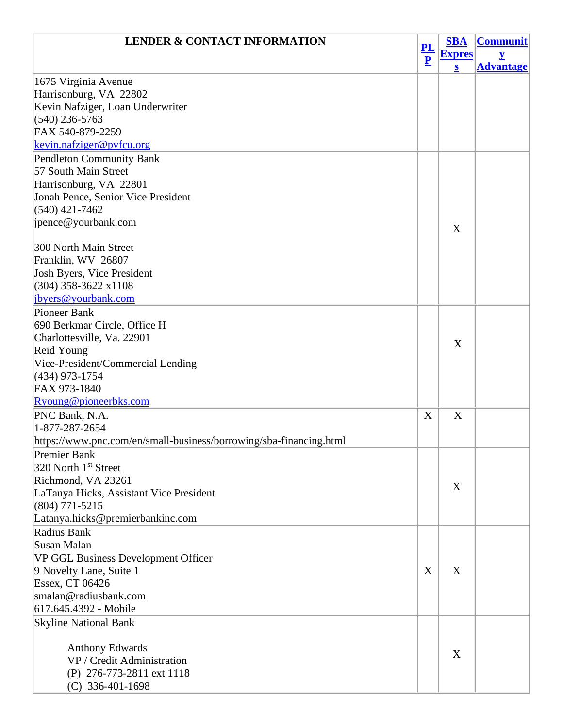| <b>LENDER &amp; CONTACT INFORMATION</b>                            |                | <b>SBA</b>    | <b>Communit</b>  |
|--------------------------------------------------------------------|----------------|---------------|------------------|
|                                                                    | $\frac{PL}{P}$ | <b>Expres</b> | $\mathbf y$      |
|                                                                    |                | $\bf{s}$      | <b>Advantage</b> |
| 1675 Virginia Avenue                                               |                |               |                  |
| Harrisonburg, VA 22802                                             |                |               |                  |
| Kevin Nafziger, Loan Underwriter                                   |                |               |                  |
| $(540)$ 236-5763                                                   |                |               |                  |
| FAX 540-879-2259                                                   |                |               |                  |
| kevin.nafziger@pyfcu.org                                           |                |               |                  |
| <b>Pendleton Community Bank</b>                                    |                |               |                  |
| 57 South Main Street                                               |                |               |                  |
| Harrisonburg, VA 22801                                             |                |               |                  |
| Jonah Pence, Senior Vice President                                 |                |               |                  |
| $(540)$ 421-7462                                                   |                |               |                  |
| jpence@yourbank.com                                                |                | X             |                  |
|                                                                    |                |               |                  |
| 300 North Main Street                                              |                |               |                  |
| Franklin, WV 26807                                                 |                |               |                  |
| Josh Byers, Vice President                                         |                |               |                  |
| $(304)$ 358-3622 x1108                                             |                |               |                  |
| jbyers@yourbank.com                                                |                |               |                  |
| Pioneer Bank                                                       |                |               |                  |
| 690 Berkmar Circle, Office H                                       |                |               |                  |
| Charlottesville, Va. 22901                                         |                | X             |                  |
| Reid Young                                                         |                |               |                  |
| Vice-President/Commercial Lending                                  |                |               |                  |
| $(434)$ 973-1754<br>FAX 973-1840                                   |                |               |                  |
|                                                                    |                |               |                  |
| Ryoung@pioneerbks.com                                              |                |               |                  |
| PNC Bank, N.A.<br>1-877-287-2654                                   | X              | X             |                  |
|                                                                    |                |               |                  |
| https://www.pnc.com/en/small-business/borrowing/sba-financing.html |                |               |                  |
| <b>Premier Bank</b><br>320 North 1 <sup>st</sup> Street            |                |               |                  |
| Richmond, VA 23261                                                 |                |               |                  |
| LaTanya Hicks, Assistant Vice President                            |                | X             |                  |
| $(804)$ 771-5215                                                   |                |               |                  |
| Latanya.hicks@premierbankinc.com                                   |                |               |                  |
| Radius Bank                                                        |                |               |                  |
| Susan Malan                                                        |                |               |                  |
| VP GGL Business Development Officer                                |                |               |                  |
| 9 Novelty Lane, Suite 1                                            | X              | X             |                  |
| Essex, CT 06426                                                    |                |               |                  |
| smalan@radiusbank.com                                              |                |               |                  |
| 617.645.4392 - Mobile                                              |                |               |                  |
| <b>Skyline National Bank</b>                                       |                |               |                  |
|                                                                    |                |               |                  |
| <b>Anthony Edwards</b>                                             |                |               |                  |
| VP / Credit Administration                                         |                | X             |                  |
| (P) 276-773-2811 ext 1118                                          |                |               |                  |
| $(C)$ 336-401-1698                                                 |                |               |                  |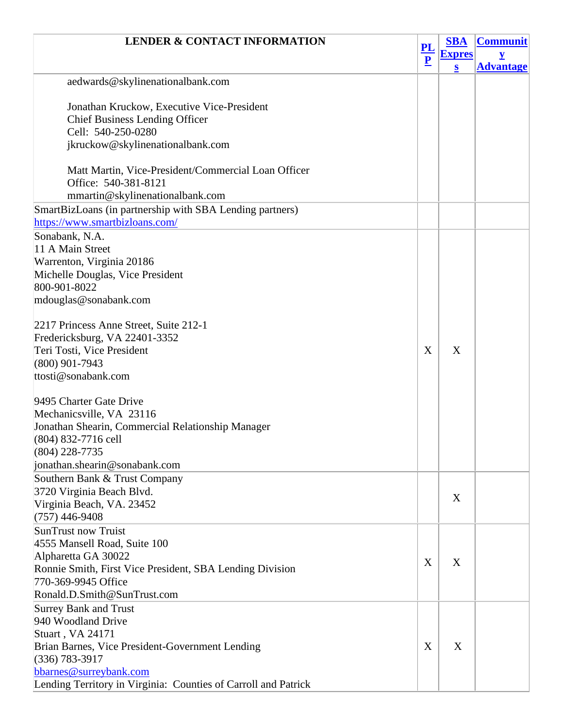| <b>LENDER &amp; CONTACT INFORMATION</b>                        | $\frac{PL}{P}$ | <b>SBA</b>    | <b>Communit</b>  |
|----------------------------------------------------------------|----------------|---------------|------------------|
|                                                                |                | <b>Expres</b> |                  |
|                                                                |                | $\bf{s}$      | <b>Advantage</b> |
| aedwards@skylinenationalbank.com                               |                |               |                  |
| Jonathan Kruckow, Executive Vice-President                     |                |               |                  |
| <b>Chief Business Lending Officer</b>                          |                |               |                  |
| Cell: 540-250-0280                                             |                |               |                  |
| jkruckow@skylinenationalbank.com                               |                |               |                  |
|                                                                |                |               |                  |
| Matt Martin, Vice-President/Commercial Loan Officer            |                |               |                  |
| Office: 540-381-8121                                           |                |               |                  |
| mmartin@skylinenationalbank.com                                |                |               |                  |
| SmartBizLoans (in partnership with SBA Lending partners)       |                |               |                  |
| https://www.smartbizloans.com/                                 |                |               |                  |
| Sonabank, N.A.                                                 |                |               |                  |
| 11 A Main Street                                               |                |               |                  |
| Warrenton, Virginia 20186                                      |                |               |                  |
| Michelle Douglas, Vice President                               |                |               |                  |
| 800-901-8022                                                   |                |               |                  |
| mdouglas@sonabank.com                                          |                |               |                  |
|                                                                |                |               |                  |
| 2217 Princess Anne Street, Suite 212-1                         |                |               |                  |
| Fredericksburg, VA 22401-3352                                  |                |               |                  |
| Teri Tosti, Vice President                                     | X              | X             |                  |
| $(800)$ 901-7943                                               |                |               |                  |
| ttosti@sonabank.com                                            |                |               |                  |
|                                                                |                |               |                  |
| 9495 Charter Gate Drive<br>Mechanicsville, VA 23116            |                |               |                  |
| Jonathan Shearin, Commercial Relationship Manager              |                |               |                  |
| (804) 832-7716 cell                                            |                |               |                  |
| (804) 228-7735                                                 |                |               |                  |
| jonathan.shearin@sonabank.com                                  |                |               |                  |
| Southern Bank & Trust Company                                  |                |               |                  |
| 3720 Virginia Beach Blvd.                                      |                |               |                  |
| Virginia Beach, VA. 23452                                      |                | X             |                  |
| $(757)$ 446-9408                                               |                |               |                  |
| <b>SunTrust now Truist</b>                                     |                |               |                  |
| 4555 Mansell Road, Suite 100                                   |                |               |                  |
| Alpharetta GA 30022                                            |                |               |                  |
| Ronnie Smith, First Vice President, SBA Lending Division       | X              | X             |                  |
| 770-369-9945 Office                                            |                |               |                  |
| Ronald.D.Smith@SunTrust.com                                    |                |               |                  |
| <b>Surrey Bank and Trust</b>                                   |                |               |                  |
| 940 Woodland Drive                                             |                |               |                  |
| Stuart, VA 24171                                               |                |               |                  |
| Brian Barnes, Vice President-Government Lending                | X              | X             |                  |
| $(336)$ 783-3917                                               |                |               |                  |
| bbarnes@surreybank.com                                         |                |               |                  |
| Lending Territory in Virginia: Counties of Carroll and Patrick |                |               |                  |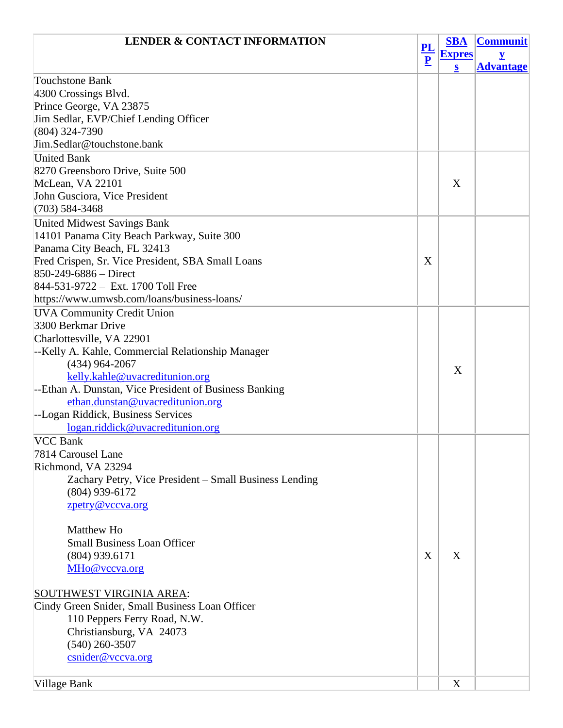| <b>LENDER &amp; CONTACT INFORMATION</b>                  | $\frac{PL}{P}$ | <b>SBA</b>    | <b>Communit</b>         |
|----------------------------------------------------------|----------------|---------------|-------------------------|
|                                                          |                | <b>Expres</b> | $\overline{\mathbf{y}}$ |
|                                                          |                | $\mathbf{s}$  | <b>Advantage</b>        |
| <b>Touchstone Bank</b>                                   |                |               |                         |
| 4300 Crossings Blvd.                                     |                |               |                         |
| Prince George, VA 23875                                  |                |               |                         |
| Jim Sedlar, EVP/Chief Lending Officer                    |                |               |                         |
| $(804)$ 324-7390                                         |                |               |                         |
| Jim.Sedlar@touchstone.bank                               |                |               |                         |
| <b>United Bank</b>                                       |                |               |                         |
| 8270 Greensboro Drive, Suite 500                         |                |               |                         |
| McLean, VA 22101                                         |                | X             |                         |
| John Gusciora, Vice President                            |                |               |                         |
| $(703) 584 - 3468$                                       |                |               |                         |
| <b>United Midwest Savings Bank</b>                       |                |               |                         |
| 14101 Panama City Beach Parkway, Suite 300               |                |               |                         |
| Panama City Beach, FL 32413                              |                |               |                         |
| Fred Crispen, Sr. Vice President, SBA Small Loans        | X              |               |                         |
| 850-249-6886 - Direct                                    |                |               |                         |
| 844-531-9722 - Ext. 1700 Toll Free                       |                |               |                         |
| https://www.umwsb.com/loans/business-loans/              |                |               |                         |
| <b>UVA Community Credit Union</b>                        |                |               |                         |
| 3300 Berkmar Drive                                       |                |               |                         |
| Charlottesville, VA 22901                                |                |               |                         |
| --Kelly A. Kahle, Commercial Relationship Manager        |                |               |                         |
| $(434)$ 964-2067                                         |                | X             |                         |
| kelly.kahle@uvacreditunion.org                           |                |               |                         |
| --Ethan A. Dunstan, Vice President of Business Banking   |                |               |                         |
| ethan.dunstan@uvacreditunion.org                         |                |               |                         |
| --Logan Riddick, Business Services                       |                |               |                         |
| logan.riddick@uvacreditunion.org                         |                |               |                         |
| <b>VCC Bank</b>                                          |                |               |                         |
| 7814 Carousel Lane                                       |                |               |                         |
| Richmond, VA 23294                                       |                |               |                         |
| Zachary Petry, Vice President – Small Business Lending   |                |               |                         |
| $(804)$ 939-6172                                         |                |               |                         |
| zpetry@vccva.org                                         |                |               |                         |
|                                                          |                |               |                         |
| Matthew Ho                                               |                |               |                         |
| <b>Small Business Loan Officer</b>                       |                |               |                         |
| (804) 939.6171                                           | X              | X             |                         |
| MHo@vccva.org                                            |                |               |                         |
|                                                          |                |               |                         |
| <b>SOUTHWEST VIRGINIA AREA:</b>                          |                |               |                         |
| Cindy Green Snider, Small Business Loan Officer          |                |               |                         |
| 110 Peppers Ferry Road, N.W.<br>Christiansburg, VA 24073 |                |               |                         |
|                                                          |                |               |                         |
| $(540)$ 260-3507                                         |                |               |                         |
| csnider@vccva.org                                        |                |               |                         |
| <b>Village Bank</b>                                      |                | X             |                         |
|                                                          |                |               |                         |